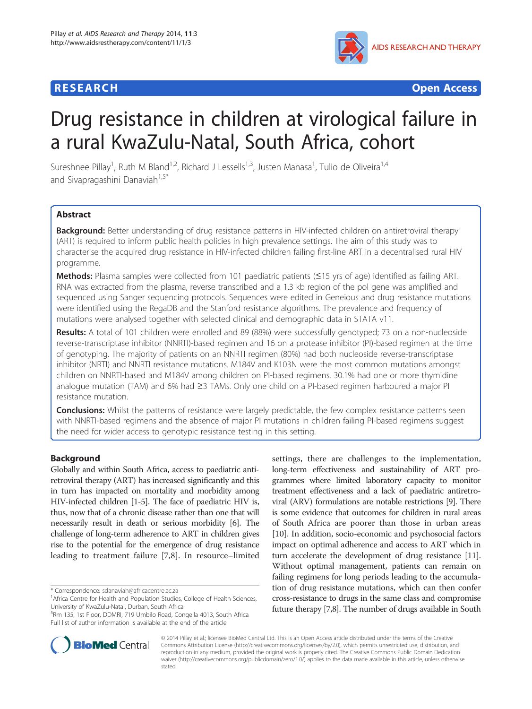# **RESEARCH CHE Open Access**



# Drug resistance in children at virological failure in a rural KwaZulu-Natal, South Africa, cohort

Sureshnee Pillay<sup>1</sup>, Ruth M Bland<sup>1,2</sup>, Richard J Lessells<sup>1,3</sup>, Justen Manasa<sup>1</sup>, Tulio de Oliveira<sup>1,4</sup> and Sivapragashini Danaviah<sup>1,5\*</sup>

## **Abstract**

Background: Better understanding of drug resistance patterns in HIV-infected children on antiretroviral therapy (ART) is required to inform public health policies in high prevalence settings. The aim of this study was to characterise the acquired drug resistance in HIV-infected children failing first-line ART in a decentralised rural HIV programme.

Methods: Plasma samples were collected from 101 paediatric patients (≤15 yrs of age) identified as failing ART. RNA was extracted from the plasma, reverse transcribed and a 1.3 kb region of the pol gene was amplified and sequenced using Sanger sequencing protocols. Sequences were edited in Geneious and drug resistance mutations were identified using the RegaDB and the Stanford resistance algorithms. The prevalence and frequency of mutations were analysed together with selected clinical and demographic data in STATA v11.

Results: A total of 101 children were enrolled and 89 (88%) were successfully genotyped; 73 on a non-nucleoside reverse-transcriptase inhibitor (NNRTI)-based regimen and 16 on a protease inhibitor (PI)-based regimen at the time of genotyping. The majority of patients on an NNRTI regimen (80%) had both nucleoside reverse-transcriptase inhibitor (NRTI) and NNRTI resistance mutations. M184V and K103N were the most common mutations amongst children on NNRTI-based and M184V among children on PI-based regimens. 30.1% had one or more thymidine analogue mutation (TAM) and 6% had ≥3 TAMs. Only one child on a PI-based regimen harboured a major PI resistance mutation.

**Conclusions:** Whilst the patterns of resistance were largely predictable, the few complex resistance patterns seen with NNRTI-based regimens and the absence of major PI mutations in children failing PI-based regimens suggest the need for wider access to genotypic resistance testing in this setting.

## Background

Globally and within South Africa, access to paediatric antiretroviral therapy (ART) has increased significantly and this in turn has impacted on mortality and morbidity among HIV-infected children [[1-5\]](#page-7-0). The face of paediatric HIV is, thus, now that of a chronic disease rather than one that will necessarily result in death or serious morbidity [\[6\]](#page-7-0). The challenge of long-term adherence to ART in children gives rise to the potential for the emergence of drug resistance leading to treatment failure [[7,8](#page-7-0)]. In resource–limited

\* Correspondence: [sdanaviah@africacentre.ac.za](mailto:sdanaviah@africacentre.ac.za) <sup>1</sup>

settings, there are challenges to the implementation, long-term effectiveness and sustainability of ART programmes where limited laboratory capacity to monitor treatment effectiveness and a lack of paediatric antiretroviral (ARV) formulations are notable restrictions [\[9](#page-7-0)]. There is some evidence that outcomes for children in rural areas of South Africa are poorer than those in urban areas [[10\]](#page-7-0). In addition, socio-economic and psychosocial factors impact on optimal adherence and access to ART which in turn accelerate the development of drug resistance [[11](#page-7-0)]. Without optimal management, patients can remain on failing regimens for long periods leading to the accumulation of drug resistance mutations, which can then confer cross-resistance to drugs in the same class and compromise future therapy [\[7,8\]](#page-7-0). The number of drugs available in South



© 2014 Pillay et al.; licensee BioMed Central Ltd. This is an Open Access article distributed under the terms of the Creative Commons Attribution License [\(http://creativecommons.org/licenses/by/2.0\)](http://creativecommons.org/licenses/by/2.0), which permits unrestricted use, distribution, and reproduction in any medium, provided the original work is properly cited. The Creative Commons Public Domain Dedication waiver [\(http://creativecommons.org/publicdomain/zero/1.0/\)](http://creativecommons.org/publicdomain/zero/1.0/) applies to the data made available in this article, unless otherwise stated.

<sup>&</sup>lt;sup>1</sup> Africa Centre for Health and Population Studies, College of Health Sciences, University of KwaZulu-Natal, Durban, South Africa

<sup>&</sup>lt;sup>5</sup>Rm 135, 1st Floor, DDMRI, 719 Umbilo Road, Congella 4013, South Africa Full list of author information is available at the end of the article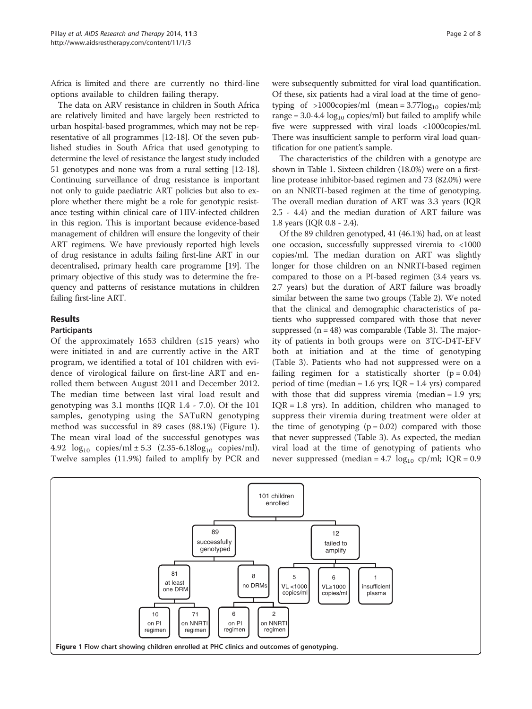Africa is limited and there are currently no third-line options available to children failing therapy.

The data on ARV resistance in children in South Africa are relatively limited and have largely been restricted to urban hospital-based programmes, which may not be representative of all programmes [\[12-18](#page-7-0)]. Of the seven published studies in South Africa that used genotyping to determine the level of resistance the largest study included 51 genotypes and none was from a rural setting [[12](#page-7-0)-[18](#page-7-0)]. Continuing surveillance of drug resistance is important not only to guide paediatric ART policies but also to explore whether there might be a role for genotypic resistance testing within clinical care of HIV-infected children in this region. This is important because evidence-based management of children will ensure the longevity of their ART regimens. We have previously reported high levels of drug resistance in adults failing first-line ART in our decentralised, primary health care programme [\[19](#page-7-0)]. The primary objective of this study was to determine the frequency and patterns of resistance mutations in children failing first-line ART.

## Results

#### Participants

Of the approximately 1653 children  $(\leq 15$  years) who were initiated in and are currently active in the ART program, we identified a total of 101 children with evidence of virological failure on first-line ART and enrolled them between August 2011 and December 2012. The median time between last viral load result and genotyping was 3.1 months (IQR 1.4 - 7.0). Of the 101 samples, genotyping using the SATuRN genotyping method was successful in 89 cases (88.1%) (Figure 1). The mean viral load of the successful genotypes was 4.92  $log_{10}$  copies/ml  $\pm$  5.3 (2.35-6.18log<sub>10</sub> copies/ml). Twelve samples (11.9%) failed to amplify by PCR and

were subsequently submitted for viral load quantification. Of these, six patients had a viral load at the time of genotyping of  $>1000$ copies/ml (mean = 3.77 $log_{10}$  copies/ml; range =  $3.0-4.4 \log_{10}$  copies/ml) but failed to amplify while five were suppressed with viral loads <1000copies/ml. There was insufficient sample to perform viral load quantification for one patient's sample.

The characteristics of the children with a genotype are shown in Table [1](#page-2-0). Sixteen children (18.0%) were on a firstline protease inhibitor-based regimen and 73 (82.0%) were on an NNRTI-based regimen at the time of genotyping. The overall median duration of ART was 3.3 years (IQR 2.5 - 4.4) and the median duration of ART failure was 1.8 years (IQR 0.8 - 2.4).

Of the 89 children genotyped, 41 (46.1%) had, on at least one occasion, successfully suppressed viremia to <1000 copies/ml. The median duration on ART was slightly longer for those children on an NNRTI-based regimen compared to those on a PI-based regimen (3.4 years vs. 2.7 years) but the duration of ART failure was broadly similar between the same two groups (Table [2](#page-3-0)). We noted that the clinical and demographic characteristics of patients who suppressed compared with those that never suppressed  $(n = 48)$  was comparable (Table [3\)](#page-3-0). The majority of patients in both groups were on 3TC-D4T-EFV both at initiation and at the time of genotyping (Table [3\)](#page-3-0). Patients who had not suppressed were on a failing regimen for a statistically shorter  $(p = 0.04)$ period of time (median =  $1.6$  yrs; IQR =  $1.4$  yrs) compared with those that did suppress viremia (median = 1.9 yrs;  $IQR = 1.8$  yrs). In addition, children who managed to suppress their viremia during treatment were older at the time of genotyping  $(p = 0.02)$  compared with those that never suppressed (Table [3\)](#page-3-0). As expected, the median viral load at the time of genotyping of patients who never suppressed (median = 4.7  $log_{10}$  cp/ml; IQR = 0.9

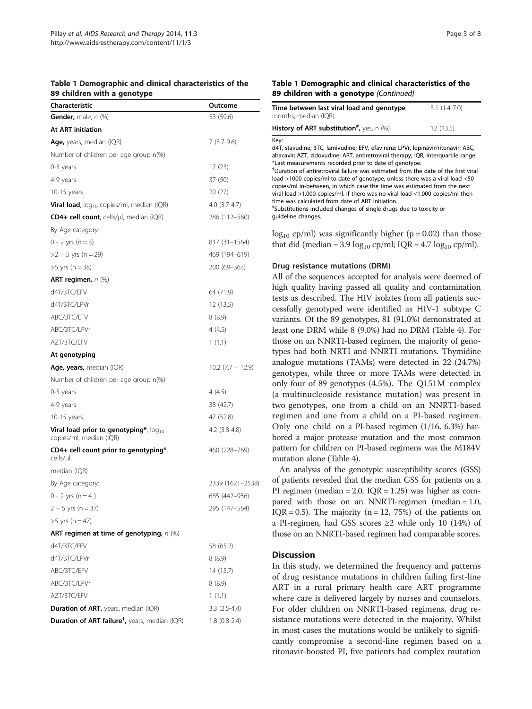#### <span id="page-2-0"></span>Table 1 Demographic and clinical characteristics of the 89 children with a genotype

| .<br><b>.</b><br>Characteristic                                        | Outcome             |  |  |
|------------------------------------------------------------------------|---------------------|--|--|
| Gender, male, n (%)                                                    | 53 (59.6)           |  |  |
| <b>At ART initiation</b>                                               |                     |  |  |
| <b>Age,</b> years, median (IQR)                                        | $7(3.7-9.6)$        |  |  |
| Number of children per age group n(%)                                  |                     |  |  |
| 0-3 years                                                              | 17(23)              |  |  |
| 4-9 years                                                              | 37 (50)             |  |  |
| $10-15$ years                                                          | 20 (27)             |  |  |
| <b>Viral load</b> , $log_{10}$ copies/ml, median (IQR)                 | $4.0$ (3.7-4.7)     |  |  |
| <b>CD4+ cell count</b> , cells/µl, median (IQR)                        | 286 (112–560)       |  |  |
| By Age category:                                                       |                     |  |  |
| 0 - 2 yrs (n = 3)                                                      | 817 (31-1564)       |  |  |
| $>2 - 5$ yrs (n = 29)                                                  | 469 (194–619)       |  |  |
| $>5$ yrs (n = 38)                                                      | 200 (69–363)        |  |  |
| ART regimen, $n$ (%)                                                   |                     |  |  |
| d4T/3TC/EFV                                                            | 64 (71.9)           |  |  |
| d4T/3TC/LPVr                                                           | 12 (13.5)           |  |  |
| ABC/3TC/EFV                                                            | 8(8.9)              |  |  |
| ABC/3TC/LPVr                                                           | 4(4.5)              |  |  |
| AZT/3TC/EFV                                                            | 1(1.1)              |  |  |
| At genotyping                                                          |                     |  |  |
| Age, years, median (IQR)                                               | $10.2$ (7.7 - 12.9) |  |  |
| Number of children per age group n(%)                                  |                     |  |  |
| 0-3 years                                                              | 4(4.5)              |  |  |
| 4-9 years                                                              | 38 (42.7)           |  |  |
| $10-15$ years                                                          | 47 (52.8)           |  |  |
| Viral load prior to genotyping*, $log_{10}$<br>copies/ml, median (IQR) | $4.2$ (3.8-4.8)     |  |  |
| $CD4+$ cell count prior to genotyping*,<br>cells/µl,                   | 460 (228-769)       |  |  |
| median (IQR)                                                           |                     |  |  |
| By Age category:                                                       | 2339 (1621–2538)    |  |  |
| $0 - 2$ yrs $(n = 4)$                                                  | 685 (442-956)       |  |  |
| $2 - 5$ yrs (n = 37)                                                   | 295 (147–564)       |  |  |
| $>5$ yrs (n = 47)                                                      |                     |  |  |
| ART regimen at time of genotyping, n (%)                               |                     |  |  |
| d4T/3TC/EFV                                                            | 58 (65.2)           |  |  |
| d4T/3TC/LPVr                                                           | 8(8.9)              |  |  |
| ABC/3TC/EFV                                                            | 14 (15.7)           |  |  |
| ABC/3TC/LPVr                                                           | 8(8.9)              |  |  |
| AZT/3TC/EFV                                                            | 1(1.1)              |  |  |
| <b>Duration of ART, years, median (IQR)</b>                            | $3.3(2.5-4.4)$      |  |  |
| Duration of ART failure <sup>t</sup> , years, median (IQR)             | $1.8(0.8-2.4)$      |  |  |

#### Table 1 Demographic and clinical characteristics of the 89 children with a genotype (Continued)

| Time between last viral load and genotype,<br>months, median (IQR)                                                                                                                                                                                                                                                                        | $3.1(1.4-7.0)$ |
|-------------------------------------------------------------------------------------------------------------------------------------------------------------------------------------------------------------------------------------------------------------------------------------------------------------------------------------------|----------------|
| History of ART substitution <sup>#</sup> , yes, n $(\%)$                                                                                                                                                                                                                                                                                  | 12(13.5)       |
| Key:<br>d4T, stavudine; 3TC, lamivudine; EFV, efavirenz; LPVr, lopinavir/ritonavir; ABC,<br>abacavir; AZT, zidovudine; ART, antiretroviral therapy; IQR, interguartile range.<br>*Last measurements recorded prior to date of genotype.<br><sup>†</sup> Duration of antiretroviral failure was estimated from the date of the first viral |                |

load >1000 copies/ml to date of genotype, unless there was a viral load <50 copies/ml in-between, in which case the time was estimated from the next viral load >1,000 copies/ml. If there was no viral load ≤1,000 copies/ml then time was calculated from date of ART initiation. # Substitutions included changes of single drugs due to toxicity or

guideline changes.

 $log_{10}$  cp/ml) was significantly higher (p = 0.02) than those that did (median = 3.9  $log_{10}$  cp/ml; IQR = 4.7  $log_{10}$  cp/ml).

## Drug resistance mutations (DRM)

All of the sequences accepted for analysis were deemed of high quality having passed all quality and contamination tests as described. The HIV isolates from all patients successfully genotyped were identified as HIV-1 subtype C variants. Of the 89 genotypes, 81 (91.0%) demonstrated at least one DRM while 8 (9.0%) had no DRM (Table [4\)](#page-4-0). For those on an NNRTI-based regimen, the majority of genotypes had both NRTI and NNRTI mutations. Thymidine analogue mutations (TAMs) were detected in 22 (24.7%) genotypes, while three or more TAMs were detected in only four of 89 genotypes (4.5%). The Q151M complex (a multinucleoside resistance mutation) was present in two genotypes, one from a child on an NNRTI-based regimen and one from a child on a PI-based regimen. Only one child on a PI-based regimen (1/16, 6.3%) harbored a major protease mutation and the most common pattern for children on PI-based regimens was the M184V mutation alone (Table [4](#page-4-0)).

An analysis of the genotypic susceptibility scores (GSS) of patients revealed that the median GSS for patients on a PI regimen (median = 2.0, IQR = 1.25) was higher as compared with those on an NNRTI-regimen (median = 1.0, IQR = 0.5). The majority ( $n = 12, 75\%$ ) of the patients on a PI-regimen, had GSS scores ≥2 while only 10 (14%) of those on an NNRTI-based regimen had comparable scores.

## **Discussion**

In this study, we determined the frequency and patterns of drug resistance mutations in children failing first-line ART in a rural primary health care ART programme where care is delivered largely by nurses and counselors. For older children on NNRTI-based regimens, drug resistance mutations were detected in the majority. Whilst in most cases the mutations would be unlikely to significantly compromise a second-line regimen based on a ritonavir-boosted PI, five patients had complex mutation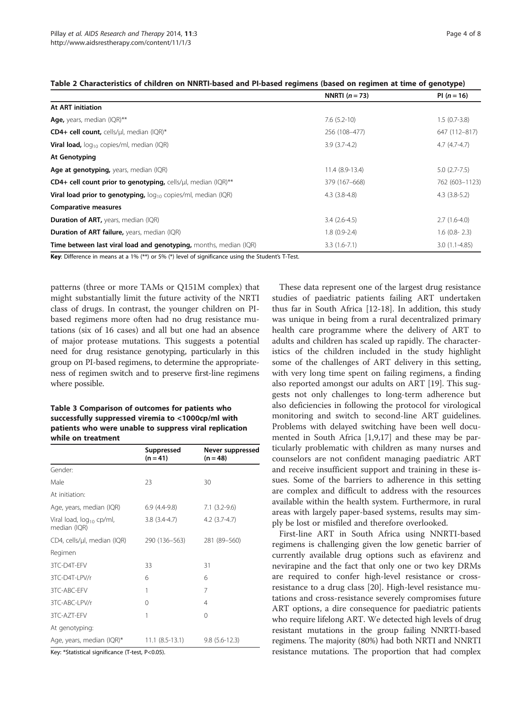|                                                                                      | NNRTI $(n=73)$   | $PI (n = 16)$     |
|--------------------------------------------------------------------------------------|------------------|-------------------|
| At ART initiation                                                                    |                  |                   |
| Age, years, median (IQR)**                                                           | $7.6$ $(5.2-10)$ | $1.5(0.7-3.8)$    |
| CD4+ cell count, cells/µl, median (IQR)*                                             | 256 (108-477)    | 647 (112-817)     |
| <b>Viral load,</b> $log_{10}$ copies/ml, median (IQR)                                | $3.9(3.7-4.2)$   | $4.7(4.7-4.7)$    |
| At Genotyping                                                                        |                  |                   |
| Age at genotyping, years, median (IQR)                                               | 11.4 (8.9-13.4)  | $5.0(2.7-7.5)$    |
| <b>CD4+ cell count prior to genotyping, cells/ul, median (IQR)**</b>                 | 379 (167-668)    | 762 (603-1123)    |
| <b>Viral load prior to genotyping, <math>log_{10}</math> copies/ml, median (IQR)</b> | $4.3(3.8-4.8)$   | $4.3(3.8-5.2)$    |
| <b>Comparative measures</b>                                                          |                  |                   |
| <b>Duration of ART, years, median (IQR)</b>                                          | $3.4(2.6-4.5)$   | $2.7(1.6-4.0)$    |
| <b>Duration of ART failure, years, median (IQR)</b>                                  | $1.8(0.9-2.4)$   | $1.6$ (0.8- 2.3)  |
| Time between last viral load and genotyping, months, median (IQR)                    | $3.3(1.6-7.1)$   | $3.0(1.1 - 4.85)$ |

#### <span id="page-3-0"></span>Table 2 Characteristics of children on NNRTI-based and PI-based regimens (based on regimen at time of genotype)

Key: Difference in means at a 1% (\*\*) or 5% (\*) level of significance using the Student's T-Test.

patterns (three or more TAMs or Q151M complex) that might substantially limit the future activity of the NRTI class of drugs. In contrast, the younger children on PIbased regimens more often had no drug resistance mutations (six of 16 cases) and all but one had an absence of major protease mutations. This suggests a potential need for drug resistance genotyping, particularly in this group on PI-based regimens, to determine the appropriateness of regimen switch and to preserve first-line regimens where possible.

#### Table 3 Comparison of outcomes for patients who successfully suppressed viremia to <1000cp/ml with patients who were unable to suppress viral replication while on treatment

|                                                      | Suppressed<br>$(n = 41)$ | Never suppressed<br>$(n = 48)$ |
|------------------------------------------------------|--------------------------|--------------------------------|
| Gender:                                              |                          |                                |
| Male                                                 | 23                       | 30                             |
| At initiation:                                       |                          |                                |
| Age, years, median (IQR)                             | $6.9(4.4-9.8)$           | $7.1(3.2-9.6)$                 |
| Viral load, log <sub>10</sub> cp/ml,<br>median (IQR) | $3.8(3.4-4.7)$           | $4.2$ $(3.7 - 4.7)$            |
| CD4, cells/µl, median (IQR)                          | 290 (136–563)            | 281 (89-560)                   |
| Regimen                                              |                          |                                |
| 3TC-D4T-EFV                                          | 33                       | 31                             |
| 3TC-D4T-LPV/r                                        | 6                        | 6                              |
| 3TC-ABC-EFV                                          | 1                        | 7                              |
| 3TC-ABC-LPV/r                                        | 0                        | 4                              |
| 3TC-AZT-EFV                                          | 1                        | 0                              |
| At genotyping:                                       |                          |                                |
| Age, years, median (IQR)*                            | $11.1 (8.5 - 13.1)$      | $9.8(5.6-12.3)$                |

Key: \*Statistical significance (T-test, P<0.05).

These data represent one of the largest drug resistance studies of paediatric patients failing ART undertaken thus far in South Africa [\[12-18](#page-7-0)]. In addition, this study was unique in being from a rural decentralized primary health care programme where the delivery of ART to adults and children has scaled up rapidly. The characteristics of the children included in the study highlight some of the challenges of ART delivery in this setting, with very long time spent on failing regimens, a finding also reported amongst our adults on ART [\[19\]](#page-7-0). This suggests not only challenges to long-term adherence but also deficiencies in following the protocol for virological monitoring and switch to second-line ART guidelines. Problems with delayed switching have been well documented in South Africa [[1,9,17\]](#page-7-0) and these may be particularly problematic with children as many nurses and counselors are not confident managing paediatric ART and receive insufficient support and training in these issues. Some of the barriers to adherence in this setting are complex and difficult to address with the resources available within the health system. Furthermore, in rural areas with largely paper-based systems, results may simply be lost or misfiled and therefore overlooked.

First-line ART in South Africa using NNRTI-based regimens is challenging given the low genetic barrier of currently available drug options such as efavirenz and nevirapine and the fact that only one or two key DRMs are required to confer high-level resistance or crossresistance to a drug class [[20](#page-7-0)]. High-level resistance mutations and cross-resistance severely compromises future ART options, a dire consequence for paediatric patients who require lifelong ART. We detected high levels of drug resistant mutations in the group failing NNRTI-based regimens. The majority (80%) had both NRTI and NNRTI resistance mutations. The proportion that had complex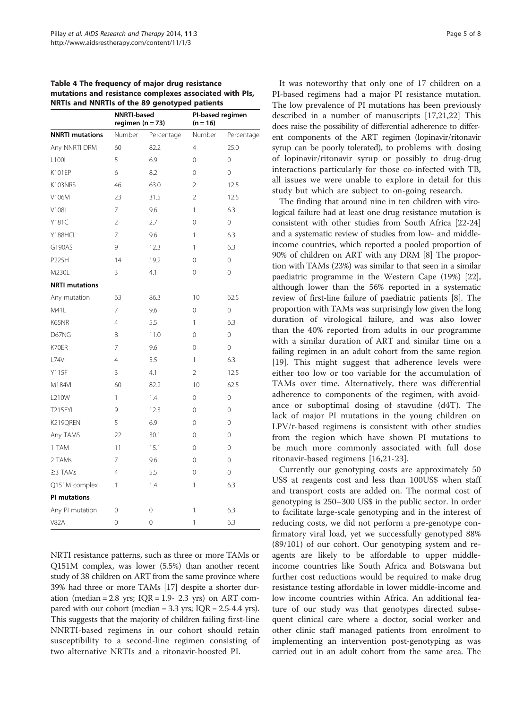<span id="page-4-0"></span>

| Table 4 The frequency of major drug resistance          |
|---------------------------------------------------------|
| mutations and resistance complexes associated with PIs, |
| NRTIs and NNRTIs of the 89 genotyped patients           |

| <b>NNRTI</b> mutations | NRTIs and NNRTIs of the 89 genotyped patients<br><b>NNRTI-based</b><br>regimen ( $n = 73$ ) |             | PI-based regimen<br>$(n = 16)$ |             |
|------------------------|---------------------------------------------------------------------------------------------|-------------|--------------------------------|-------------|
|                        | Number                                                                                      | Percentage  | Number                         | Percentage  |
| Any NNRTI DRM          | 60                                                                                          | 82.2        | $\overline{4}$                 | 25.0        |
| L100I                  | 5                                                                                           | 6.9         | 0                              | 0           |
| K101EP                 | 6                                                                                           | 8.2         | $\Omega$                       | $\mathbf 0$ |
| K103NRS                | 46                                                                                          | 63.0        | $\overline{2}$                 | 12.5        |
| V106M                  | 23                                                                                          | 31.5        | $\overline{2}$                 | 12.5        |
| V108I                  | 7                                                                                           | 9.6         | 1                              | 6.3         |
| Y181C                  | 2                                                                                           | 2.7         | 0                              | 0           |
| Y188HCL                | 7                                                                                           | 9.6         | 1                              | 6.3         |
| G190AS                 | 9                                                                                           | 12.3        | 1                              | 6.3         |
| P225H                  | 14                                                                                          | 19.2        | 0                              | 0           |
| M230L                  | 3                                                                                           | 4.1         | 0                              | 0           |
| <b>NRTI mutations</b>  |                                                                                             |             |                                |             |
| Any mutation           | 63                                                                                          | 86.3        | 10                             | 62.5        |
| M41L                   | 7                                                                                           | 9.6         | 0                              | 0           |
| K65NR                  | $\overline{4}$                                                                              | 5.5         | 1                              | 6.3         |
| D67NG                  | 8                                                                                           | 11.0        | $\Omega$                       | $\Omega$    |
| K70ER                  | 7                                                                                           | 9.6         | 0                              | 0           |
| L74VI                  | $\overline{4}$                                                                              | 5.5         | 1                              | 6.3         |
| Y115F                  | 3                                                                                           | 4.1         | $\overline{2}$                 | 12.5        |
| M184VI                 | 60                                                                                          | 82.2        | 10                             | 62.5        |
| L210W                  | 1                                                                                           | 1.4         | 0                              | 0           |
| <b>T215FYI</b>         | 9                                                                                           | 12.3        | 0                              | 0           |
| K219QREN               | 5                                                                                           | 6.9         | $\overline{O}$                 | 0           |
| Any TAMS               | 22                                                                                          | 30.1        | $\mathbf 0$                    | $\mathbf 0$ |
| 1 TAM                  | 11                                                                                          | 15.1        | 0                              | 0           |
| 2 TAMs                 | 7                                                                                           | 9.6         | 0                              | 0           |
| $\geq$ 3 TAMs          | 4                                                                                           | 5.5         | 0                              | 0           |
| Q151M complex          | 1                                                                                           | 1.4         | 1                              | 6.3         |
| <b>PI</b> mutations    |                                                                                             |             |                                |             |
| Any PI mutation        | 0                                                                                           | 0           | 1                              | 6.3         |
| <b>V82A</b>            | 0                                                                                           | $\mathbf 0$ | 1                              | 6.3         |

NRTI resistance patterns, such as three or more TAMs or Q151M complex, was lower (5.5%) than another recent study of 38 children on ART from the same province where 39% had three or more TAMs [[17\]](#page-7-0) despite a shorter duration (median =  $2.8$  yrs; IQR =  $1.9-2.3$  yrs) on ART compared with our cohort (median =  $3.3$  yrs; IQR =  $2.5-4.4$  yrs). This suggests that the majority of children failing first-line NNRTI-based regimens in our cohort should retain susceptibility to a second-line regimen consisting of two alternative NRTIs and a ritonavir-boosted PI.

It was noteworthy that only one of 17 children on a PI-based regimens had a major PI resistance mutation. The low prevalence of PI mutations has been previously described in a number of manuscripts [[17](#page-7-0),[21](#page-7-0),[22](#page-7-0)] This does raise the possibility of differential adherence to different components of the ART regimen (lopinavir/ritonavir syrup can be poorly tolerated), to problems with dosing of lopinavir/ritonavir syrup or possibly to drug-drug interactions particularly for those co-infected with TB, all issues we were unable to explore in detail for this study but which are subject to on-going research.

The finding that around nine in ten children with virological failure had at least one drug resistance mutation is consistent with other studies from South Africa [[22](#page-7-0)-[24](#page-7-0)] and a systematic review of studies from low- and middleincome countries, which reported a pooled proportion of 90% of children on ART with any DRM [[8\]](#page-7-0) The proportion with TAMs (23%) was similar to that seen in a similar paediatric programme in the Western Cape (19%) [[22](#page-7-0)], although lower than the 56% reported in a systematic review of first-line failure of paediatric patients [\[8](#page-7-0)]. The proportion with TAMs was surprisingly low given the long duration of virological failure, and was also lower than the 40% reported from adults in our programme with a similar duration of ART and similar time on a failing regimen in an adult cohort from the same region [[19\]](#page-7-0). This might suggest that adherence levels were either too low or too variable for the accumulation of TAMs over time. Alternatively, there was differential adherence to components of the regimen, with avoidance or suboptimal dosing of stavudine (d4T). The lack of major PI mutations in the young children on LPV/r-based regimens is consistent with other studies from the region which have shown PI mutations to be much more commonly associated with full dose ritonavir-based regimens [\[16](#page-7-0),[21-23](#page-7-0)].

Currently our genotyping costs are approximately 50 US\$ at reagents cost and less than 100US\$ when staff and transport costs are added on. The normal cost of genotyping is 250–300 US\$ in the public sector. In order to facilitate large-scale genotyping and in the interest of reducing costs, we did not perform a pre-genotype confirmatory viral load, yet we successfully genotyped 88% (89/101) of our cohort. Our genotyping system and reagents are likely to be affordable to upper middleincome countries like South Africa and Botswana but further cost reductions would be required to make drug resistance testing affordable in lower middle-income and low income countries within Africa. An additional feature of our study was that genotypes directed subsequent clinical care where a doctor, social worker and other clinic staff managed patients from enrolment to implementing an intervention post-genotyping as was carried out in an adult cohort from the same area. The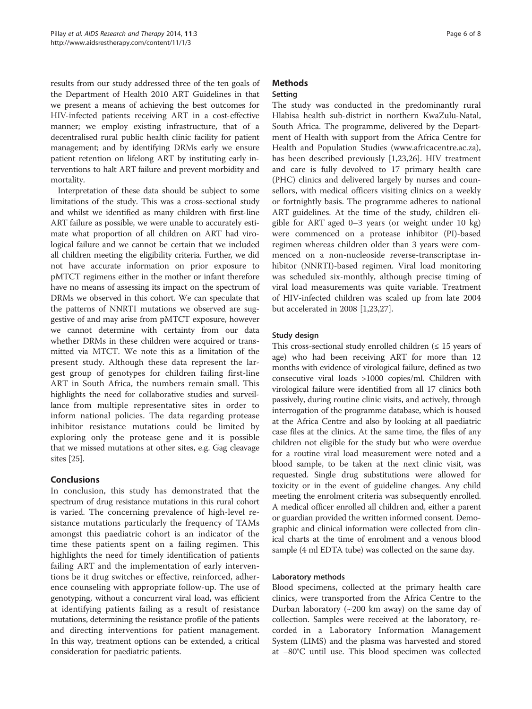results from our study addressed three of the ten goals of the Department of Health 2010 ART Guidelines in that we present a means of achieving the best outcomes for HIV-infected patients receiving ART in a cost-effective manner; we employ existing infrastructure, that of a decentralised rural public health clinic facility for patient management; and by identifying DRMs early we ensure patient retention on lifelong ART by instituting early interventions to halt ART failure and prevent morbidity and mortality.

Interpretation of these data should be subject to some limitations of the study. This was a cross-sectional study and whilst we identified as many children with first-line ART failure as possible, we were unable to accurately estimate what proportion of all children on ART had virological failure and we cannot be certain that we included all children meeting the eligibility criteria. Further, we did not have accurate information on prior exposure to pMTCT regimens either in the mother or infant therefore have no means of assessing its impact on the spectrum of DRMs we observed in this cohort. We can speculate that the patterns of NNRTI mutations we observed are suggestive of and may arise from pMTCT exposure, however we cannot determine with certainty from our data whether DRMs in these children were acquired or transmitted via MTCT. We note this as a limitation of the present study. Although these data represent the largest group of genotypes for children failing first-line ART in South Africa, the numbers remain small. This highlights the need for collaborative studies and surveillance from multiple representative sites in order to inform national policies. The data regarding protease inhibitor resistance mutations could be limited by exploring only the protease gene and it is possible that we missed mutations at other sites, e.g. Gag cleavage sites [[25](#page-7-0)].

## Conclusions

In conclusion, this study has demonstrated that the spectrum of drug resistance mutations in this rural cohort is varied. The concerning prevalence of high-level resistance mutations particularly the frequency of TAMs amongst this paediatric cohort is an indicator of the time these patients spent on a failing regimen. This highlights the need for timely identification of patients failing ART and the implementation of early interventions be it drug switches or effective, reinforced, adherence counseling with appropriate follow-up. The use of genotyping, without a concurrent viral load, was efficient at identifying patients failing as a result of resistance mutations, determining the resistance profile of the patients and directing interventions for patient management. In this way, treatment options can be extended, a critical consideration for paediatric patients.

## **Methods**

## Setting

The study was conducted in the predominantly rural Hlabisa health sub-district in northern KwaZulu-Natal, South Africa. The programme, delivered by the Department of Health with support from the Africa Centre for Health and Population Studies ([www.africacentre.ac.za](http://www.africacentre.ac.za)), has been described previously [\[1,23,26](#page-7-0)]. HIV treatment and care is fully devolved to 17 primary health care (PHC) clinics and delivered largely by nurses and counsellors, with medical officers visiting clinics on a weekly or fortnightly basis. The programme adheres to national ART guidelines. At the time of the study, children eligible for ART aged 0–3 years (or weight under 10 kg) were commenced on a protease inhibitor (PI)-based regimen whereas children older than 3 years were commenced on a non-nucleoside reverse-transcriptase inhibitor (NNRTI)-based regimen. Viral load monitoring was scheduled six-monthly, although precise timing of viral load measurements was quite variable. Treatment of HIV-infected children was scaled up from late 2004 but accelerated in 2008 [\[1,23,27](#page-7-0)].

## Study design

This cross-sectional study enrolled children  $(≤ 15$  years of age) who had been receiving ART for more than 12 months with evidence of virological failure, defined as two consecutive viral loads >1000 copies/ml. Children with virological failure were identified from all 17 clinics both passively, during routine clinic visits, and actively, through interrogation of the programme database, which is housed at the Africa Centre and also by looking at all paediatric case files at the clinics. At the same time, the files of any children not eligible for the study but who were overdue for a routine viral load measurement were noted and a blood sample, to be taken at the next clinic visit, was requested. Single drug substitutions were allowed for toxicity or in the event of guideline changes. Any child meeting the enrolment criteria was subsequently enrolled. A medical officer enrolled all children and, either a parent or guardian provided the written informed consent. Demographic and clinical information were collected from clinical charts at the time of enrolment and a venous blood sample (4 ml EDTA tube) was collected on the same day.

#### Laboratory methods

Blood specimens, collected at the primary health care clinics, were transported from the Africa Centre to the Durban laboratory  $(\sim 200 \text{ km}$  away) on the same day of collection. Samples were received at the laboratory, recorded in a Laboratory Information Management System (LIMS) and the plasma was harvested and stored at −80°C until use. This blood specimen was collected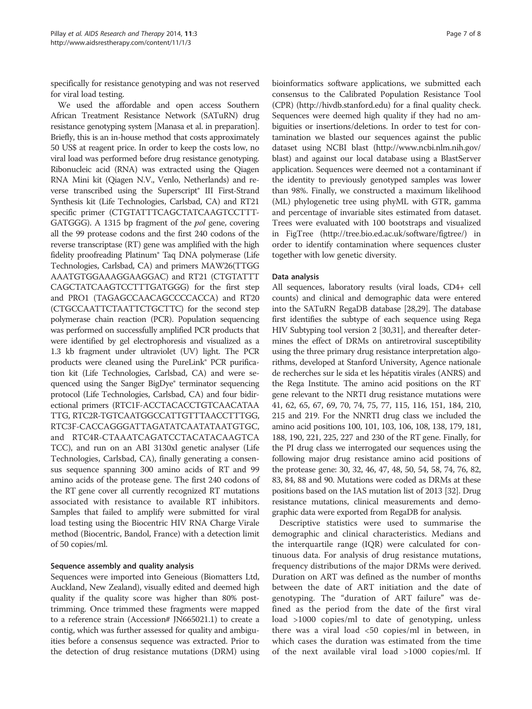specifically for resistance genotyping and was not reserved for viral load testing.

We used the affordable and open access Southern African Treatment Resistance Network (SATuRN) drug resistance genotyping system [Manasa et al. in preparation]. Briefly, this is an in-house method that costs approximately 50 US\$ at reagent price. In order to keep the costs low, no viral load was performed before drug resistance genotyping. Ribonucleic acid (RNA) was extracted using the Qiagen RNA Mini kit (Qiagen N.V., Venlo, Netherlands) and reverse transcribed using the Superscript® III First-Strand Synthesis kit (Life Technologies, Carlsbad, CA) and RT21 specific primer (CTGTATTTCAGCTATCAAGTCCTTT-GATGGG). A 1315 bp fragment of the pol gene, covering all the 99 protease codons and the first 240 codons of the reverse transcriptase (RT) gene was amplified with the high fidelity proofreading Platinum® Taq DNA polymerase (Life Technologies, Carlsbad, CA) and primers MAW26(TTGG AAATGTGGAAAGGAAGGAC) and RT21 (CTGTATTT CAGCTATCAAGTCCTTTGATGGG) for the first step and PRO1 (TAGAGCCAACAGCCCCACCA) and RT20 (CTGCCAATTCTAATTCTGCTTC) for the second step polymerase chain reaction (PCR). Population sequencing was performed on successfully amplified PCR products that were identified by gel electrophoresis and visualized as a 1.3 kb fragment under ultraviolet (UV) light. The PCR products were cleaned using the PureLink® PCR purification kit (Life Technologies, Carlsbad, CA) and were sequenced using the Sanger BigDye® terminator sequencing protocol (Life Technologies, Carlsbad, CA) and four bidirectional primers (RTC1F-ACCTACACCTGTCAACATAA TTG, RTC2R-TGTCAATGGCCATTGTTTAACCTTTGG, RTC3F-CACCAGGGATTAGATATCAATATAATGTGC, and RTC4R-CTAAATCAGATCCTACATACAAGTCA TCC), and run on an ABI 3130xl genetic analyser (Life Technologies, Carlsbad, CA), finally generating a consensus sequence spanning 300 amino acids of RT and 99 amino acids of the protease gene. The first 240 codons of the RT gene cover all currently recognized RT mutations associated with resistance to available RT inhibitors. Samples that failed to amplify were submitted for viral load testing using the Biocentric HIV RNA Charge Virale method (Biocentric, Bandol, France) with a detection limit of 50 copies/ml.

## Sequence assembly and quality analysis

Sequences were imported into Geneious (Biomatters Ltd, Auckland, New Zealand), visually edited and deemed high quality if the quality score was higher than 80% posttrimming. Once trimmed these fragments were mapped to a reference strain (Accession# JN665021.1) to create a contig, which was further assessed for quality and ambiguities before a consensus sequence was extracted. Prior to the detection of drug resistance mutations (DRM) using bioinformatics software applications, we submitted each consensus to the Calibrated Population Resistance Tool (CPR) [\(http://hivdb.stanford.edu](http://hivdb.stanford.edu/)) for a final quality check. Sequences were deemed high quality if they had no ambiguities or insertions/deletions. In order to test for contamination we blasted our sequences against the public dataset using NCBI blast [\(http://www.ncbi.nlm.nih.gov/](http://www.ncbi.nlm.nih.gov/blast) [blast](http://www.ncbi.nlm.nih.gov/blast)) and against our local database using a BlastServer application. Sequences were deemed not a contaminant if the identity to previously genotyped samples was lower than 98%. Finally, we constructed a maximum likelihood (ML) phylogenetic tree using phyML with GTR, gamma and percentage of invariable sites estimated from dataset. Trees were evaluated with 100 bootstraps and visualized in FigTree ([http://tree.bio.ed.ac.uk/software/figtree/\)](http://tree.bio.ed.ac.uk/software/figtree/) in order to identify contamination where sequences cluster together with low genetic diversity.

#### Data analysis

All sequences, laboratory results (viral loads, CD4+ cell counts) and clinical and demographic data were entered into the SATuRN RegaDB database [[28,29\]](#page-7-0). The database first identifies the subtype of each sequence using Rega HIV Subtyping tool version 2 [[30,31\]](#page-7-0), and thereafter determines the effect of DRMs on antiretroviral susceptibility using the three primary drug resistance interpretation algorithms, developed at Stanford University, Agence nationale de recherches sur le sida et les hépatitis virales (ANRS) and the Rega Institute. The amino acid positions on the RT gene relevant to the NRTI drug resistance mutations were 41, 62, 65, 67, 69, 70, 74, 75, 77, 115, 116, 151, 184, 210, 215 and 219. For the NNRTI drug class we included the amino acid positions 100, 101, 103, 106, 108, 138, 179, 181, 188, 190, 221, 225, 227 and 230 of the RT gene. Finally, for the PI drug class we interrogated our sequences using the following major drug resistance amino acid positions of the protease gene: 30, 32, 46, 47, 48, 50, 54, 58, 74, 76, 82, 83, 84, 88 and 90. Mutations were coded as DRMs at these positions based on the IAS mutation list of 2013 [\[32\]](#page-7-0). Drug resistance mutations, clinical measurements and demographic data were exported from RegaDB for analysis.

Descriptive statistics were used to summarise the demographic and clinical characteristics. Medians and the interquartile range (IQR) were calculated for continuous data. For analysis of drug resistance mutations, frequency distributions of the major DRMs were derived. Duration on ART was defined as the number of months between the date of ART initiation and the date of genotyping. The "duration of ART failure" was defined as the period from the date of the first viral load >1000 copies/ml to date of genotyping, unless there was a viral load <50 copies/ml in between, in which cases the duration was estimated from the time of the next available viral load >1000 copies/ml. If